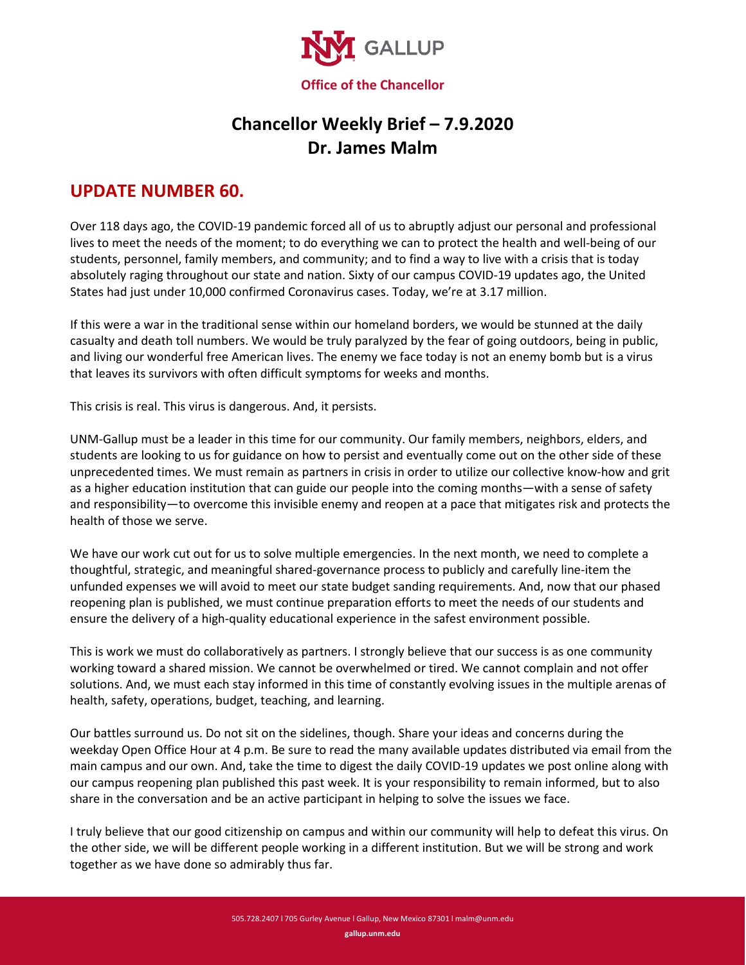

## **Chancellor Weekly Brief – 7.9.2020 Dr. James Malm**

## **UPDATE NUMBER 60.**

Over 118 days ago, the COVID-19 pandemic forced all of us to abruptly adjust our personal and professional lives to meet the needs of the moment; to do everything we can to protect the health and well-being of our students, personnel, family members, and community; and to find a way to live with a crisis that is today absolutely raging throughout our state and nation. Sixty of our campus COVID-19 updates ago, the United States had just under 10,000 confirmed Coronavirus cases. Today, we're at 3.17 million.

If this were a war in the traditional sense within our homeland borders, we would be stunned at the daily casualty and death toll numbers. We would be truly paralyzed by the fear of going outdoors, being in public, and living our wonderful free American lives. The enemy we face today is not an enemy bomb but is a virus that leaves its survivors with often difficult symptoms for weeks and months.

This crisis is real. This virus is dangerous. And, it persists.

UNM-Gallup must be a leader in this time for our community. Our family members, neighbors, elders, and students are looking to us for guidance on how to persist and eventually come out on the other side of these unprecedented times. We must remain as partners in crisis in order to utilize our collective know-how and grit as a higher education institution that can guide our people into the coming months—with a sense of safety and responsibility—to overcome this invisible enemy and reopen at a pace that mitigates risk and protects the health of those we serve.

We have our work cut out for us to solve multiple emergencies. In the next month, we need to complete a thoughtful, strategic, and meaningful shared-governance process to publicly and carefully line-item the unfunded expenses we will avoid to meet our state budget sanding requirements. And, now that our phased reopening plan is published, we must continue preparation efforts to meet the needs of our students and ensure the delivery of a high-quality educational experience in the safest environment possible.

This is work we must do collaboratively as partners. I strongly believe that our success is as one community working toward a shared mission. We cannot be overwhelmed or tired. We cannot complain and not offer solutions. And, we must each stay informed in this time of constantly evolving issues in the multiple arenas of health, safety, operations, budget, teaching, and learning.

Our battles surround us. Do not sit on the sidelines, though. Share your ideas and concerns during the weekday Open Office Hour at 4 p.m. Be sure to read the many available updates distributed via email from the main campus and our own. And, take the time to digest the daily COVID-19 updates we post online along with our campus reopening plan published this past week. It is your responsibility to remain informed, but to also share in the conversation and be an active participant in helping to solve the issues we face.

I truly believe that our good citizenship on campus and within our community will help to defeat this virus. On the other side, we will be different people working in a different institution. But we will be strong and work together as we have done so admirably thus far.